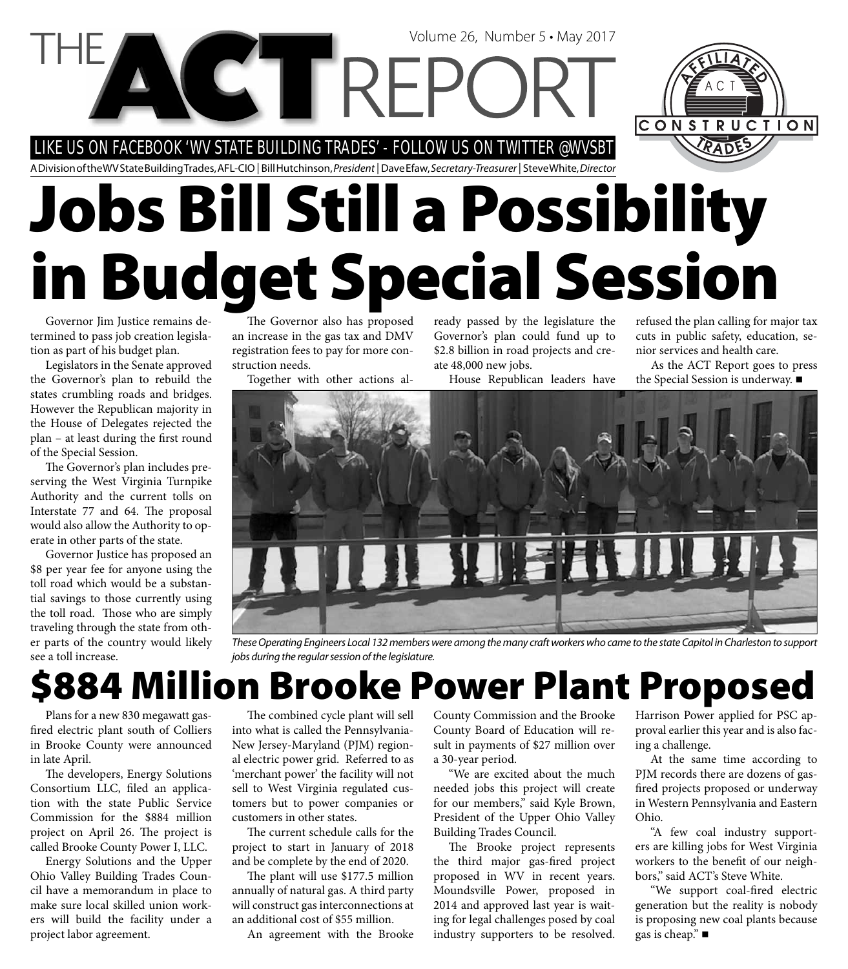### LIKE US ON FACEBOOK 'WV STATE BUILDING TRADES' - FOLLOW US ON TWITTER @WVSBT

CTRE

A Division of the WV State Building Trades, AFL-CIO | Bill Hutchinson, President | Dave Efaw, Secretary-Treasurer | Steve White, Director

# **Jobs Bill Still a Possibility in Budget Special Session**

Governor Jim Justice remains determined to pass job creation legislation as part of his budget plan.

Legislators in the Senate approved the Governor's plan to rebuild the states crumbling roads and bridges. However the Republican majority in the House of Delegates rejected the plan - at least during the first round of the Special Session.

The Governor's plan includes preserving the West Virginia Turnpike Authority and the current tolls on Interstate 77 and 64. The proposal would also allow the Authority to operate in other parts of the state.

Governor Justice has proposed an \$8 per year fee for anyone using the toll road which would be a substantial savings to those currently using the toll road. Those who are simply traveling through the state from other parts of the country would likely see a toll increase.

The Governor also has proposed an increase in the gas tax and DMV registration fees to pay for more construction needs.

Together with other actions al-

ready passed by the legislature the Governor's plan could fund up to \$2.8 billion in road projects and create 48,000 new jobs.

Volume 26, Number 5 • May 2017

House Republican leaders have

refused the plan calling for major tax cuts in public safety, education, senior services and health care.

CONSTRUCTION

As the ACT Report goes to press the Special Session is underway. ■



These Operating Engineers Local 132 members were among the many craft workers who came to the state Capitol in Charleston to support jobs during the regular session of the legislature.

### **\$884 Million Brooke Power Plant Proposed**

Plans for a new 830 megawatt gasfired electric plant south of Colliers in Brooke County were announced in late April.

The developers, Energy Solutions Consortium LLC, filed an application with the state Public Service Commission for the \$884 million project on April 26. The project is called Brooke County Power I, LLC.

Energy Solutions and the Upper Ohio Valley Building Trades Council have a memorandum in place to make sure local skilled union workers will build the facility under a project labor agreement.

The combined cycle plant will sell into what is called the Pennsylvania-New Jersey-Maryland (PJM) regional electric power grid. Referred to as 'merchant power' the facility will not sell to West Virginia regulated customers but to power companies or customers in other states.

The current schedule calls for the project to start in January of 2018 and be complete by the end of 2020.

The plant will use \$177.5 million annually of natural gas. A third party will construct gas interconnections at an additional cost of \$55 million.

An agreement with the Brooke

County Commission and the Brooke County Board of Education will result in payments of \$27 million over a 30-year period.

"We are excited about the much needed jobs this project will create for our members," said Kyle Brown, President of the Upper Ohio Valley Building Trades Council.

The Brooke project represents the third major gas-fired project proposed in WV in recent years. Moundsville Power, proposed in 2014 and approved last year is waiting for legal challenges posed by coal industry supporters to be resolved.

Harrison Power applied for PSC approval earlier this year and is also facing a challenge.

At the same time according to PJM records there are dozens of gasfired projects proposed or underway in Western Pennsylvania and Eastern Ohio.

"A few coal industry supporters are killing jobs for West Virginia workers to the benefit of our neighbors," said ACT's Steve White.

"We support coal-fired electric generation but the reality is nobody is proposing new coal plants because gas is cheap."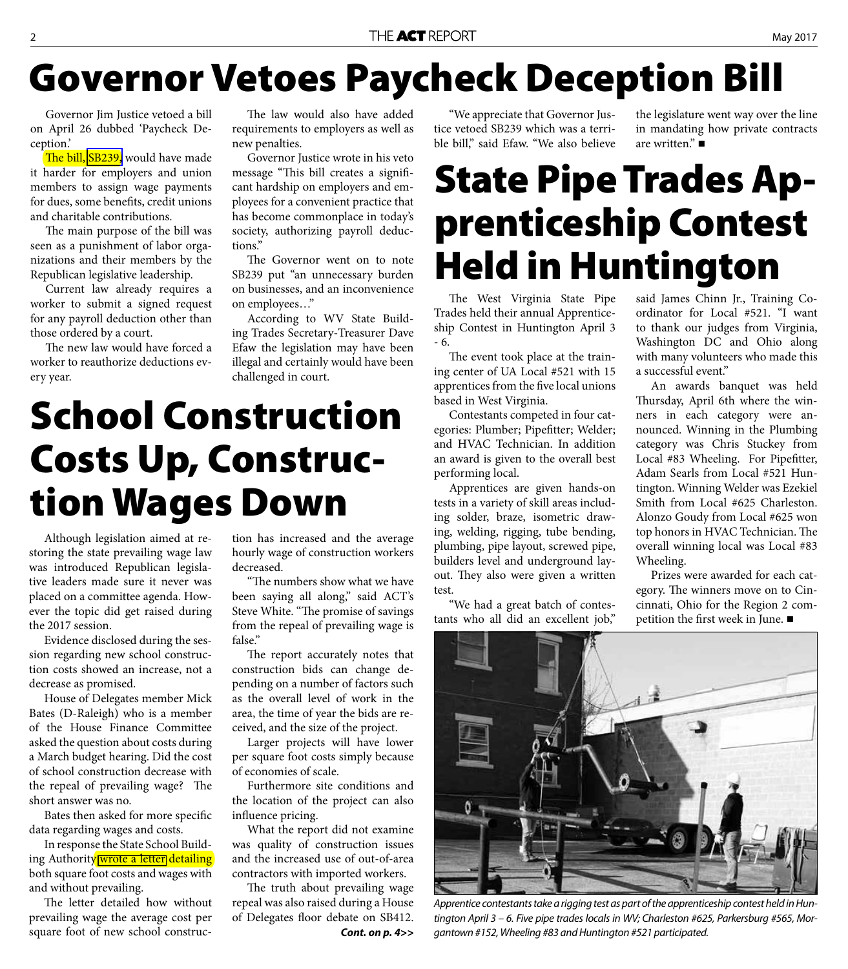## **Governor Vetoes Paycheck Deception Bill**

Governor Jim Justice vetoed a bill on April 26 dubbed 'Paycheck Deception.'

The bill, [SB239,](http://www.legis.state.wv.us/Bill_Status/Bills_history.cfm?input=239&year=2017&sessiontype=RS&btype=bill) would have made it harder for employers and union members to assign wage payments for dues, some benefits, credit unions and charitable contributions.

The main purpose of the bill was seen as a punishment of labor organizations and their members by the Republican legislative leadership.

Current law already requires a worker to submit a signed request for any payroll deduction other than those ordered by a court.

The new law would have forced a worker to reauthorize deductions every year.

The law would also have added requirements to employers as well as new penalties.

Governor Justice wrote in his veto message "This bill creates a significant hardship on employers and employees for a convenient practice that has become commonplace in today's society, authorizing payroll deductions."

The Governor went on to note SB239 put "an unnecessary burden on businesses, and an inconvenience on employees…"

According to WV State Building Trades Secretary-Treasurer Dave Efaw the legislation may have been illegal and certainly would have been challenged in court.

## **School Construction Costs Up, Construction Wages Down**

Although legislation aimed at restoring the state prevailing wage law was introduced Republican legislative leaders made sure it never was placed on a committee agenda. However the topic did get raised during the 2017 session.

Evidence disclosed during the session regarding new school construction costs showed an increase, not a decrease as promised.

House of Delegates member Mick Bates (D-Raleigh) who is a member of the House Finance Committee asked the question about costs during a March budget hearing. Did the cost of school construction decrease with the repeal of prevailing wage? The short answer was no.

Bates then asked for more specific data regarding wages and costs.

In response the State School Building Authority [wrote a letter](http://www.actwv.org/library/Prevailing%20Wage/SBA_AnalysisMarch2017.pdf) detailing both square foot costs and wages with and without prevailing.

The letter detailed how without prevailing wage the average cost per square foot of new school construction has increased and the average hourly wage of construction workers decreased.

"The numbers show what we have been saying all along," said ACT's Steve White. "The promise of savings from the repeal of prevailing wage is false."

The report accurately notes that construction bids can change depending on a number of factors such as the overall level of work in the area, the time of year the bids are received, and the size of the project.

Larger projects will have lower per square foot costs simply because of economies of scale.

Furthermore site conditions and the location of the project can also influence pricing.

What the report did not examine was quality of construction issues and the increased use of out-of-area contractors with imported workers.

The truth about prevailing wage repeal was also raised during a House of Delegates floor debate on SB412. *Cont. on p. 4>>*

"We appreciate that Governor Justice vetoed SB239 which was a terrible bill," said Efaw. "We also believe the legislature went way over the line in mandating how private contracts are written" $\blacksquare$ 

## **State Pipe Trades Apprenticeship Contest Held in Huntington**

The West Virginia State Pipe Trades held their annual Apprenticeship Contest in Huntington April 3 - 6.

The event took place at the training center of UA Local #521 with 15 apprentices from the five local unions based in West Virginia.

Contestants competed in four categories: Plumber; Pipefitter; Welder; and HVAC Technician. In addition an award is given to the overall best performing local.

Apprentices are given hands-on tests in a variety of skill areas including solder, braze, isometric drawing, welding, rigging, tube bending, plumbing, pipe layout, screwed pipe, builders level and underground layout. They also were given a written test.

"We had a great batch of contestants who all did an excellent job," said James Chinn Jr., Training Coordinator for Local #521. "I want to thank our judges from Virginia, Washington DC and Ohio along with many volunteers who made this a successful event."

An awards banquet was held Thursday, April 6th where the winners in each category were announced. Winning in the Plumbing category was Chris Stuckey from Local #83 Wheeling. For Pipefitter, Adam Searls from Local #521 Huntington. Winning Welder was Ezekiel Smith from Local #625 Charleston. Alonzo Goudy from Local #625 won top honors in HVAC Technician. The overall winning local was Local #83 Wheeling.

Prizes were awarded for each category. The winners move on to Cincinnati, Ohio for the Region 2 competition the first week in June.  $\blacksquare$ 



Apprentice contestants take a rigging test as part of the apprenticeship contest held in Huntington April 3 – 6. Five pipe trades locals in WV; Charleston #625, Parkersburg #565, Morgantown #152, Wheeling #83 and Huntington #521 participated.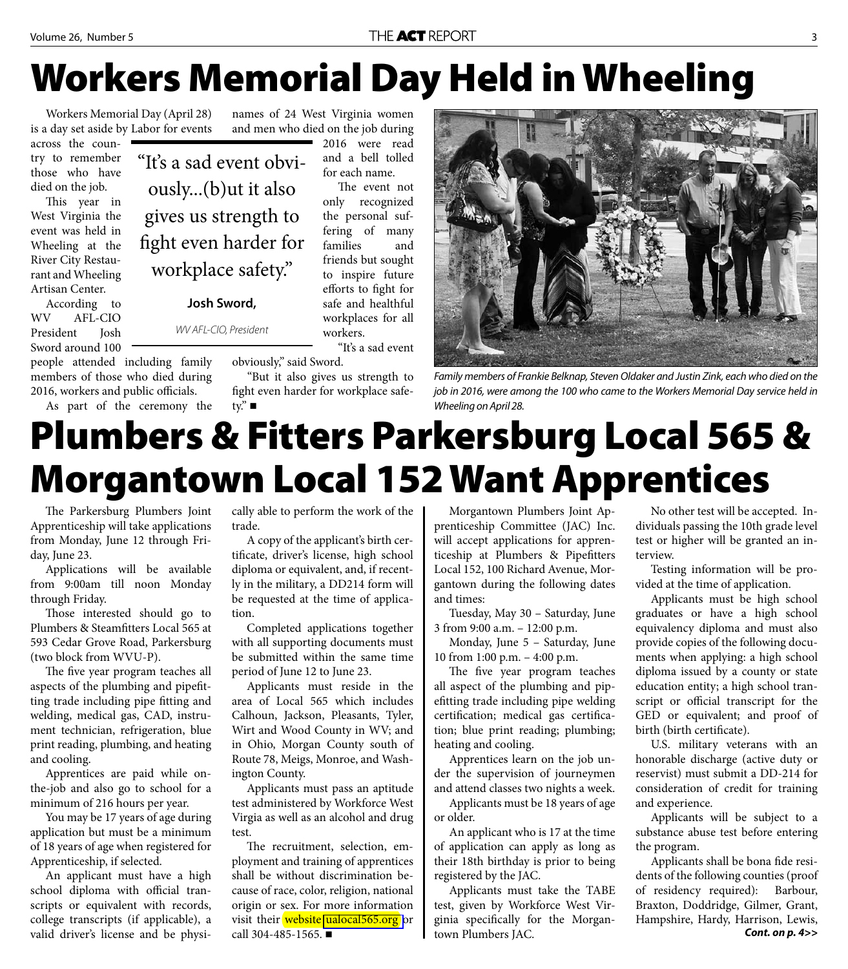## **Workers Memorial Day Held in Wheeling**

Workers Memorial Day (April 28) is a day set aside by Labor for events

"It's a sad event obvi-

ously...(b)ut it also

gives us strength to

fight even harder for

workplace safety."

**Josh Sword,** 

WV AFL-CIO, President

across the country to remember those who have died on the job.

This year in West Virginia the event was held in Wheeling at the River City Restaurant and Wheeling Artisan Center.

According to WV AFL-CIO President Josh Sword around 100

people attended including family members of those who died during 2016, workers and public officials.

As part of the ceremony the

names of 24 West Virginia women and men who died on the job during

2016 were read and a bell tolled for each name.

The event not only recognized the personal suffering of many families and friends but sought to inspire future efforts to fight for safe and healthful workplaces for all workers.

"It's a sad event obviously," said Sword.

"But it also gives us strength to fight even harder for workplace safetv." $\blacksquare$ 



Family members of Frankie Belknap, Steven Oldaker and Justin Zink, each who died on the job in 2016, were among the 100 who came to the Workers Memorial Day service held in Wheeling on April 28.

## **Plumbers & Fitters Parkersburg Local 565 & Morgantown Local 152 Want Apprentices**

The Parkersburg Plumbers Joint Apprenticeship will take applications from Monday, June 12 through Friday, June 23.

Applications will be available from 9:00am till noon Monday through Friday.

Those interested should go to Plumbers & Steamfitters Local 565 at 593 Cedar Grove Road, Parkersburg (two block from WVU-P).

The five year program teaches all aspects of the plumbing and pipefitting trade including pipe fitting and welding, medical gas, CAD, instrument technician, refrigeration, blue print reading, plumbing, and heating and cooling.

Apprentices are paid while onthe-job and also go to school for a minimum of 216 hours per year.

You may be 17 years of age during application but must be a minimum of 18 years of age when registered for Apprenticeship, if selected.

An applicant must have a high school diploma with official transcripts or equivalent with records, college transcripts (if applicable), a valid driver's license and be physically able to perform the work of the trade.

A copy of the applicant's birth certificate, driver's license, high school diploma or equivalent, and, if recently in the military, a DD214 form will be requested at the time of application.

Completed applications together with all supporting documents must be submitted within the same time period of June 12 to June 23.

Applicants must reside in the area of Local 565 which includes Calhoun, Jackson, Pleasants, Tyler, Wirt and Wood County in WV; and in Ohio, Morgan County south of Route 78, Meigs, Monroe, and Washington County.

Applicants must pass an aptitude test administered by Workforce West Virgia as well as an alcohol and drug test.

The recruitment, selection, employment and training of apprentices shall be without discrimination because of race, color, religion, national origin or sex. For more information visit their website [ualocal565.org](http://www.ualocal565.org) or call 304-485-1565.

Morgantown Plumbers Joint Apprenticeship Committee (JAC) Inc. will accept applications for apprenticeship at Plumbers & Pipefitters Local 152, 100 Richard Avenue, Morgantown during the following dates and times:

Tuesday, May 30 – Saturday, June 3 from 9:00 a.m. – 12:00 p.m.

Monday, June 5 – Saturday, June 10 from 1:00 p.m. – 4:00 p.m.

The five year program teaches all aspect of the plumbing and pipefitting trade including pipe welding certification; medical gas certification; blue print reading; plumbing; heating and cooling.

Apprentices learn on the job under the supervision of journeymen and attend classes two nights a week.

Applicants must be 18 years of age or older.

An applicant who is 17 at the time of application can apply as long as their 18th birthday is prior to being registered by the JAC.

Applicants must take the TABE test, given by Workforce West Virginia specifically for the Morgantown Plumbers JAC.

No other test will be accepted. Individuals passing the 10th grade level test or higher will be granted an interview.

Testing information will be provided at the time of application.

Applicants must be high school graduates or have a high school equivalency diploma and must also provide copies of the following documents when applying: a high school diploma issued by a county or state education entity; a high school transcript or official transcript for the GED or equivalent; and proof of birth (birth certificate).

U.S. military veterans with an honorable discharge (active duty or reservist) must submit a DD-214 for consideration of credit for training and experience.

Applicants will be subject to a substance abuse test before entering the program.

Applicants shall be bona fide residents of the following counties (proof of residency required): Barbour, Braxton, Doddridge, Gilmer, Grant, Hampshire, Hardy, Harrison, Lewis, *Cont. on p. 4>>*